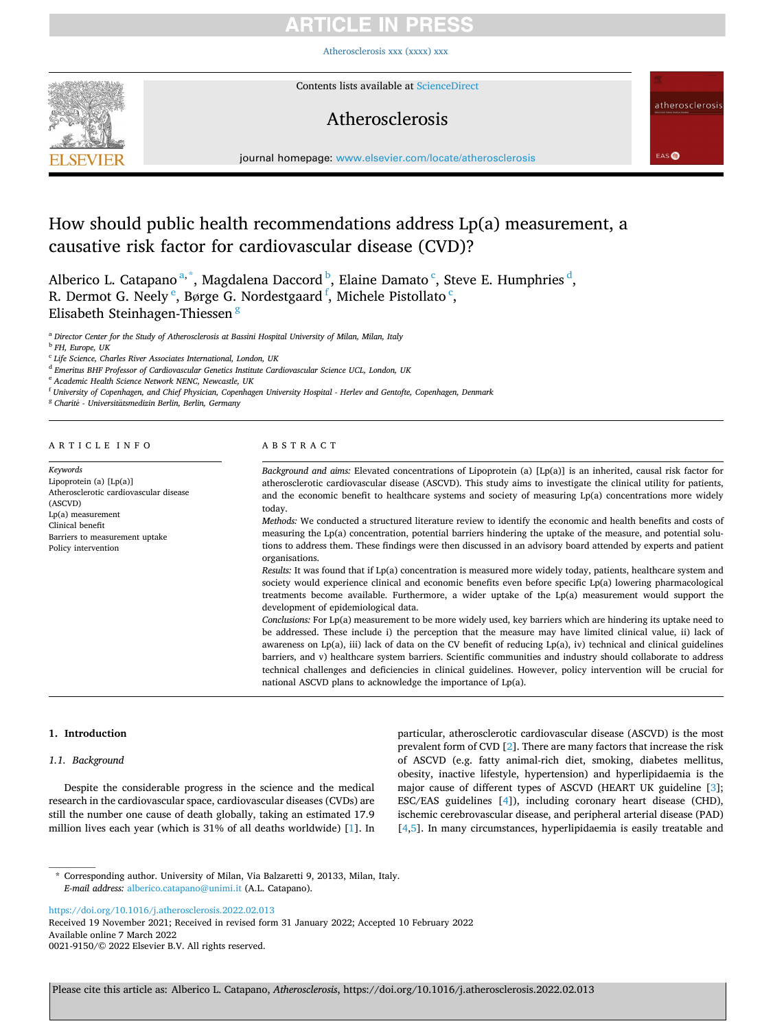## RTICLE IN PRE!

[Atherosclerosis xxx \(xxxx\) xxx](https://doi.org/10.1016/j.atherosclerosis.2022.02.013)



Contents lists available at [ScienceDirect](www.sciencedirect.com/science/journal/00219150)

## Atherosclerosis

atherosclerosis

EAS<sup>O</sup>

journal homepage: [www.elsevier.com/locate/atherosclerosis](https://www.elsevier.com/locate/atherosclerosis) 

## How should public health recommendations address Lp(a) measurement, a causative risk factor for cardiovascular disease (CVD)?

Alberico L. Catapano<sup>a,\*</sup>, Magdalena Daccord <sup>b</sup>, Elaine Damato <sup>c</sup>, Steve E. Humphries <sup>d</sup>, R. Dermot G. Neely  $\mathrm{^e}\text{,}$  Børge G. Nordestgaard  $\mathrm{^f}\text{,}$  Michele Pistollato  $\mathrm{^c}\text{,}$ Elisabeth Steinhagen-Thiessen <sup>g</sup>

<sup>a</sup> *Director Center for the Study of Atherosclerosis at Bassini Hospital University of Milan, Milan, Italy* 

<sup>b</sup> *FH, Europe, UK* 

<sup>d</sup> *Emeritus BHF Professor of Cardiovascular Genetics Institute Cardiovascular Science UCL, London, UK* 

<sup>e</sup> *Academic Health Science Network NENC, Newcastle, UK* 

<sup>f</sup> *University of Copenhagen, and Chief Physician, Copenhagen University Hospital - Herlev and Gentofte, Copenhagen, Denmark* 

<sup>g</sup> *Charit*´*e - Universitatsmedizin* ¨ *Berlin, Berlin, Germany* 

### ARTICLE INFO

*Keywords*  Lipoprotein (a) [Lp(a)] Atherosclerotic cardiovascular disease (ASCVD) Lp(a) measurement Clinical benefit Barriers to measurement uptake Policy intervention

## ABSTRACT

*Background and aims:* Elevated concentrations of Lipoprotein (a) [Lp(a)] is an inherited, causal risk factor for atherosclerotic cardiovascular disease (ASCVD). This study aims to investigate the clinical utility for patients, and the economic benefit to healthcare systems and society of measuring Lp(a) concentrations more widely today.

*Methods:* We conducted a structured literature review to identify the economic and health benefits and costs of measuring the Lp(a) concentration, potential barriers hindering the uptake of the measure, and potential solutions to address them. These findings were then discussed in an advisory board attended by experts and patient organisations.

*Results:* It was found that if Lp(a) concentration is measured more widely today, patients, healthcare system and society would experience clinical and economic benefits even before specific Lp(a) lowering pharmacological treatments become available. Furthermore, a wider uptake of the Lp(a) measurement would support the development of epidemiological data.

*Conclusions:* For Lp(a) measurement to be more widely used, key barriers which are hindering its uptake need to be addressed. These include i) the perception that the measure may have limited clinical value, ii) lack of awareness on Lp(a), iii) lack of data on the CV benefit of reducing Lp(a), iv) technical and clinical guidelines barriers, and v) healthcare system barriers. Scientific communities and industry should collaborate to address technical challenges and deficiencies in clinical guidelines. However, policy intervention will be crucial for national ASCVD plans to acknowledge the importance of Lp(a).

#### **1. Introduction**

### *1.1. Background*

Despite the considerable progress in the science and the medical research in the cardiovascular space, cardiovascular diseases (CVDs) are still the number one cause of death globally, taking an estimated 17.9 million lives each year (which is 31% of all deaths worldwide) [[1](#page-6-0)]. In

particular, atherosclerotic cardiovascular disease (ASCVD) is the most prevalent form of CVD [[2](#page-6-0)]. There are many factors that increase the risk of ASCVD (e.g. fatty animal-rich diet, smoking, diabetes mellitus, obesity, inactive lifestyle, hypertension) and hyperlipidaemia is the major cause of different types of ASCVD (HEART UK guideline [[3](#page-6-0)]; ESC/EAS guidelines [\[4](#page-6-0)]), including coronary heart disease (CHD), ischemic cerebrovascular disease, and peripheral arterial disease (PAD) [[4](#page-6-0),[5](#page-6-0)]. In many circumstances, hyperlipidaemia is easily treatable and

<https://doi.org/10.1016/j.atherosclerosis.2022.02.013>

Available online 7 March 2022 0021-9150/© 2022 Elsevier B.V. All rights reserved. Received 19 November 2021; Received in revised form 31 January 2022; Accepted 10 February 2022

<sup>c</sup> *Life Science, Charles River Associates International, London, UK* 

<sup>\*</sup> Corresponding author. University of Milan, Via Balzaretti 9, 20133, Milan, Italy. *E-mail address:* [alberico.catapano@unimi.it](mailto:alberico.catapano@unimi.it) (A.L. Catapano).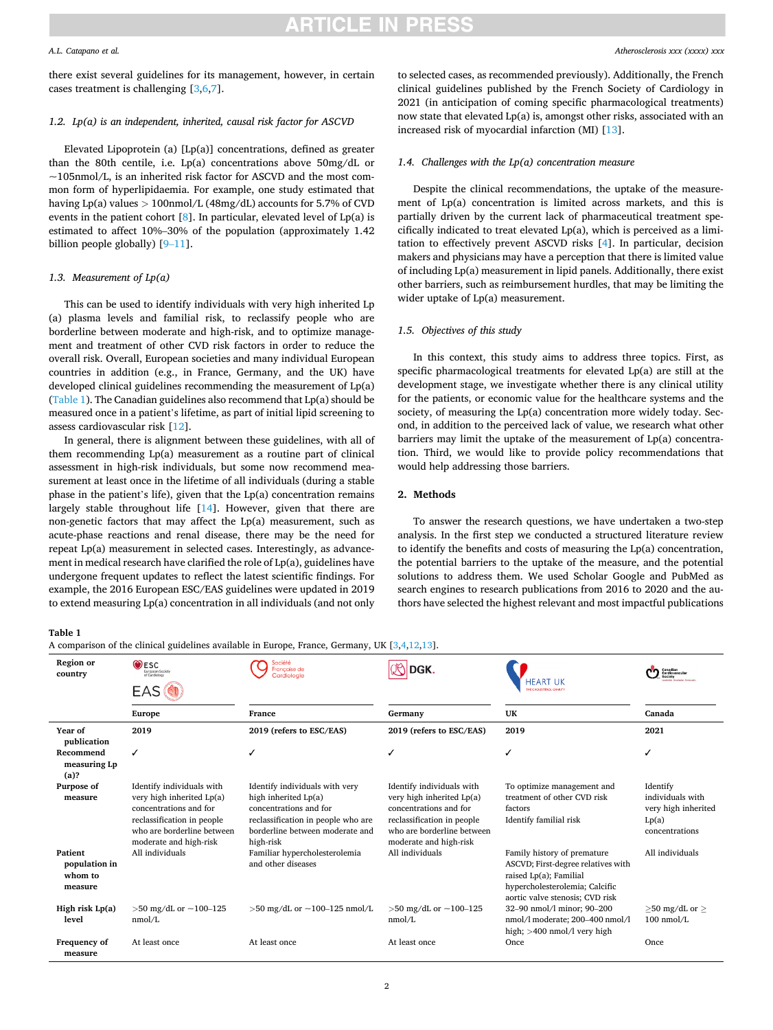#### *A.L. Catapano et al.*

there exist several guidelines for its management, however, in certain cases treatment is challenging [\[3,6,7](#page-6-0)].

## *1.2. Lp(a) is an independent, inherited, causal risk factor for ASCVD*

Elevated Lipoprotein (a) [Lp(a)] concentrations, defined as greater than the 80th centile, i.e. Lp(a) concentrations above 50mg/dL or  $\sim$ 105nmol/L, is an inherited risk factor for ASCVD and the most common form of hyperlipidaemia. For example, one study estimated that having Lp(a) values *>* 100nmol/L (48mg/dL) accounts for 5.7% of CVD events in the patient cohort  $[8]$  $[8]$  $[8]$ . In particular, elevated level of Lp(a) is estimated to affect 10%–30% of the population (approximately 1.42 billion people globally) [9-[11](#page-6-0)].

## *1.3. Measurement of Lp(a)*

This can be used to identify individuals with very high inherited Lp (a) plasma levels and familial risk, to reclassify people who are borderline between moderate and high-risk, and to optimize management and treatment of other CVD risk factors in order to reduce the overall risk. Overall, European societies and many individual European countries in addition (e.g., in France, Germany, and the UK) have developed clinical guidelines recommending the measurement of Lp(a) (Table 1). The Canadian guidelines also recommend that Lp(a) should be measured once in a patient's lifetime, as part of initial lipid screening to assess cardiovascular risk [\[12](#page-6-0)].

In general, there is alignment between these guidelines, with all of them recommending Lp(a) measurement as a routine part of clinical assessment in high-risk individuals, but some now recommend measurement at least once in the lifetime of all individuals (during a stable phase in the patient's life), given that the Lp(a) concentration remains largely stable throughout life  $[14]$  $[14]$ . However, given that there are non-genetic factors that may affect the Lp(a) measurement, such as acute-phase reactions and renal disease, there may be the need for repeat Lp(a) measurement in selected cases. Interestingly, as advancement in medical research have clarified the role of Lp(a), guidelines have undergone frequent updates to reflect the latest scientific findings. For example, the 2016 European ESC/EAS guidelines were updated in 2019 to extend measuring Lp(a) concentration in all individuals (and not only

to selected cases, as recommended previously). Additionally, the French clinical guidelines published by the French Society of Cardiology in 2021 (in anticipation of coming specific pharmacological treatments) now state that elevated Lp(a) is, amongst other risks, associated with an increased risk of myocardial infarction (MI) [\[13](#page-6-0)].

## *1.4. Challenges with the Lp(a) concentration measure*

Despite the clinical recommendations, the uptake of the measurement of Lp(a) concentration is limited across markets, and this is partially driven by the current lack of pharmaceutical treatment specifically indicated to treat elevated Lp(a), which is perceived as a limitation to effectively prevent ASCVD risks [[4\]](#page-6-0). In particular, decision makers and physicians may have a perception that there is limited value of including Lp(a) measurement in lipid panels. Additionally, there exist other barriers, such as reimbursement hurdles, that may be limiting the wider uptake of Lp(a) measurement.

## *1.5. Objectives of this study*

In this context, this study aims to address three topics. First, as specific pharmacological treatments for elevated Lp(a) are still at the development stage, we investigate whether there is any clinical utility for the patients, or economic value for the healthcare systems and the society, of measuring the Lp(a) concentration more widely today. Second, in addition to the perceived lack of value, we research what other barriers may limit the uptake of the measurement of Lp(a) concentration. Third, we would like to provide policy recommendations that would help addressing those barriers.

### **2. Methods**

To answer the research questions, we have undertaken a two-step analysis. In the first step we conducted a structured literature review to identify the benefits and costs of measuring the Lp(a) concentration, the potential barriers to the uptake of the measure, and the potential solutions to address them. We used Scholar Google and PubMed as search engines to research publications from 2016 to 2020 and the authors have selected the highest relevant and most impactful publications

| ۰.<br>×<br>w<br>۰. |  |  |
|--------------------|--|--|
|--------------------|--|--|

A comparison of the clinical guidelines available in Europe, France, Germany, UK [\[3,4,12,13](#page-6-0)].

| Region or<br>country                                  | $\odot$ ESC<br><b>European Society</b><br>of Cardiology                                                                                                                |                                                                                                                                                                        | <b>DGK</b>                                                                                                                                                             | <b>FART UK</b>                                                                                                                                                   | CO Canadian                                                                    |
|-------------------------------------------------------|------------------------------------------------------------------------------------------------------------------------------------------------------------------------|------------------------------------------------------------------------------------------------------------------------------------------------------------------------|------------------------------------------------------------------------------------------------------------------------------------------------------------------------|------------------------------------------------------------------------------------------------------------------------------------------------------------------|--------------------------------------------------------------------------------|
|                                                       | EAS                                                                                                                                                                    |                                                                                                                                                                        |                                                                                                                                                                        |                                                                                                                                                                  |                                                                                |
|                                                       | <b>Europe</b>                                                                                                                                                          | France                                                                                                                                                                 | Germany                                                                                                                                                                | UK                                                                                                                                                               | Canada                                                                         |
| Year of<br>publication                                | 2019                                                                                                                                                                   | 2019 (refers to ESC/EAS)                                                                                                                                               | 2019 (refers to ESC/EAS)                                                                                                                                               | 2019                                                                                                                                                             | 2021                                                                           |
| Recommend<br>measuring Lp<br>(a)?                     | ✓                                                                                                                                                                      | J                                                                                                                                                                      |                                                                                                                                                                        |                                                                                                                                                                  | ✓                                                                              |
| Purpose of<br>measure                                 | Identify individuals with<br>very high inherited Lp(a)<br>concentrations and for<br>reclassification in people<br>who are borderline between<br>moderate and high-risk | Identify individuals with very<br>high inherited Lp(a)<br>concentrations and for<br>reclassification in people who are<br>borderline between moderate and<br>high-risk | Identify individuals with<br>very high inherited Lp(a)<br>concentrations and for<br>reclassification in people<br>who are borderline between<br>moderate and high-risk | To optimize management and<br>treatment of other CVD risk<br>factors<br>Identify familial risk                                                                   | Identify<br>individuals with<br>very high inherited<br>Lp(a)<br>concentrations |
| <b>Patient</b><br>population in<br>whom to<br>measure | All individuals                                                                                                                                                        | Familiar hypercholesterolemia<br>and other diseases                                                                                                                    | All individuals                                                                                                                                                        | Family history of premature<br>ASCVD; First-degree relatives with<br>raised Lp(a); Familial<br>hypercholesterolemia; Calcific<br>aortic valve stenosis; CVD risk | All individuals                                                                |
| High risk Lp(a)<br>level                              | $>50$ mg/dL or $\sim$ 100–125<br>nmol/L                                                                                                                                | $>50$ mg/dL or $\sim$ 100–125 nmol/L                                                                                                                                   | $>50$ mg/dL or $\sim$ 100-125<br>nmol/L                                                                                                                                | 32-90 nmol/l minor: 90-200<br>nmol/l moderate; 200-400 nmol/l<br>high; $>400$ nmol/l very high                                                                   | $>50$ mg/dL or $>$<br>$100$ nmol/L                                             |
| Frequency of<br>measure                               | At least once                                                                                                                                                          | At least once                                                                                                                                                          | At least once                                                                                                                                                          | Once.                                                                                                                                                            | Once.                                                                          |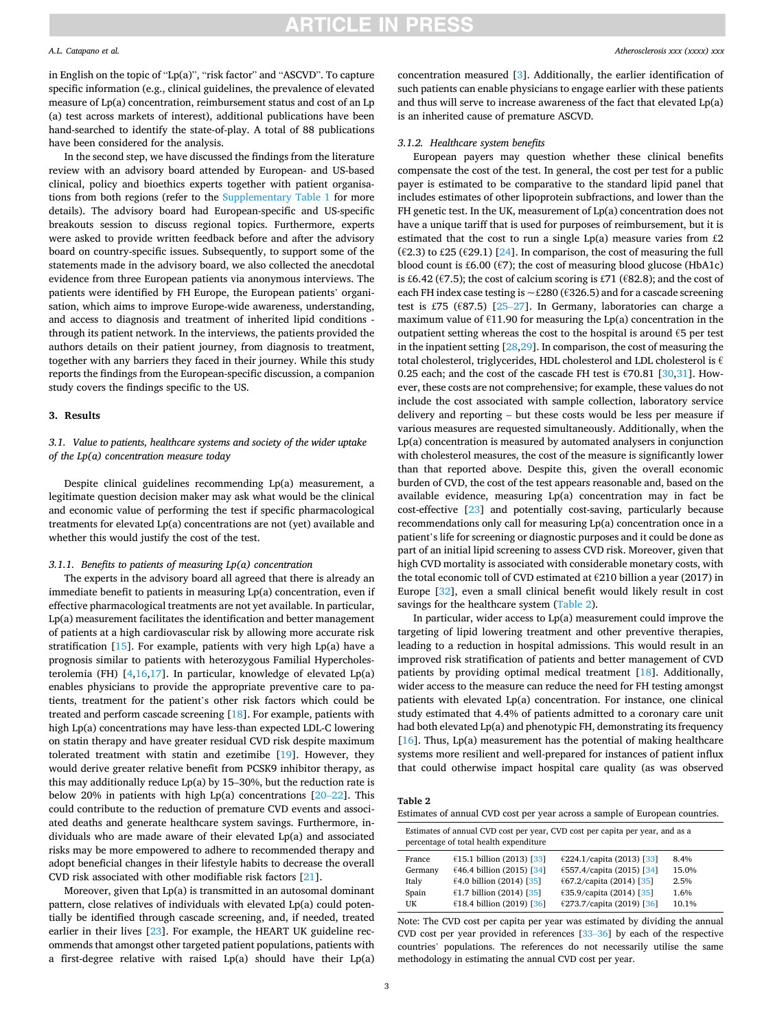#### *A.L. Catapano et al.*

in English on the topic of "Lp(a)", "risk factor" and "ASCVD". To capture specific information (e.g., clinical guidelines, the prevalence of elevated measure of Lp(a) concentration, reimbursement status and cost of an Lp (a) test across markets of interest), additional publications have been hand-searched to identify the state-of-play. A total of 88 publications have been considered for the analysis.

In the second step, we have discussed the findings from the literature review with an advisory board attended by European- and US-based clinical, policy and bioethics experts together with patient organisations from both regions (refer to the Supplementary Table 1 for more details). The advisory board had European-specific and US-specific breakouts session to discuss regional topics. Furthermore, experts were asked to provide written feedback before and after the advisory board on country-specific issues. Subsequently, to support some of the statements made in the advisory board, we also collected the anecdotal evidence from three European patients via anonymous interviews. The patients were identified by FH Europe, the European patients' organisation, which aims to improve Europe-wide awareness, understanding, and access to diagnosis and treatment of inherited lipid conditions through its patient network. In the interviews, the patients provided the authors details on their patient journey, from diagnosis to treatment, together with any barriers they faced in their journey. While this study reports the findings from the European-specific discussion, a companion study covers the findings specific to the US.

### **3. Results**

## *3.1. Value to patients, healthcare systems and society of the wider uptake of the Lp(a) concentration measure today*

Despite clinical guidelines recommending Lp(a) measurement, a legitimate question decision maker may ask what would be the clinical and economic value of performing the test if specific pharmacological treatments for elevated Lp(a) concentrations are not (yet) available and whether this would justify the cost of the test.

#### *3.1.1. Benefits to patients of measuring Lp(a) concentration*

The experts in the advisory board all agreed that there is already an immediate benefit to patients in measuring Lp(a) concentration, even if effective pharmacological treatments are not yet available. In particular, Lp(a) measurement facilitates the identification and better management of patients at a high cardiovascular risk by allowing more accurate risk stratification  $[15]$  $[15]$ . For example, patients with very high Lp(a) have a prognosis similar to patients with heterozygous Familial Hypercholesterolemia (FH)  $[4,16,17]$  $[4,16,17]$  $[4,16,17]$  $[4,16,17]$  $[4,16,17]$  $[4,16,17]$ . In particular, knowledge of elevated Lp(a) enables physicians to provide the appropriate preventive care to patients, treatment for the patient's other risk factors which could be treated and perform cascade screening [\[18](#page-6-0)]. For example, patients with high Lp(a) concentrations may have less-than expected LDL-C lowering on statin therapy and have greater residual CVD risk despite maximum tolerated treatment with statin and ezetimibe [\[19\]](#page-6-0). However, they would derive greater relative benefit from PCSK9 inhibitor therapy, as this may additionally reduce Lp(a) by 15–30%, but the reduction rate is below 20% in patients with high Lp(a) concentrations [20–[22\]](#page-6-0). This could contribute to the reduction of premature CVD events and associated deaths and generate healthcare system savings. Furthermore, individuals who are made aware of their elevated Lp(a) and associated risks may be more empowered to adhere to recommended therapy and adopt beneficial changes in their lifestyle habits to decrease the overall CVD risk associated with other modifiable risk factors [[21\]](#page-6-0).

Moreover, given that Lp(a) is transmitted in an autosomal dominant pattern, close relatives of individuals with elevated Lp(a) could potentially be identified through cascade screening, and, if needed, treated earlier in their lives [[23\]](#page-6-0). For example, the HEART UK guideline recommends that amongst other targeted patient populations, patients with a first-degree relative with raised Lp(a) should have their Lp(a) concentration measured [\[3\]](#page-6-0). Additionally, the earlier identification of such patients can enable physicians to engage earlier with these patients and thus will serve to increase awareness of the fact that elevated Lp(a) is an inherited cause of premature ASCVD.

### *3.1.2. Healthcare system benefits*

European payers may question whether these clinical benefits compensate the cost of the test. In general, the cost per test for a public payer is estimated to be comparative to the standard lipid panel that includes estimates of other lipoprotein subfractions, and lower than the FH genetic test. In the UK, measurement of Lp(a) concentration does not have a unique tariff that is used for purposes of reimbursement, but it is estimated that the cost to run a single Lp(a) measure varies from £2 (€2.3) to £25 (€29.1) [[24\]](#page-6-0). In comparison, the cost of measuring the full blood count is £6.00 ( $\epsilon$ 7); the cost of measuring blood glucose (HbA1c) is £6.42 ( $\epsilon$ 7.5); the cost of calcium scoring is £71 ( $\epsilon$ 82.8); and the cost of each FH index case testing is  $\sim$  £280 (€326.5) and for a cascade screening test is £75 ( $\epsilon$ 87.5) [25–[27\]](#page-6-0). In Germany, laboratories can charge a maximum value of  $E11.90$  for measuring the Lp(a) concentration in the outpatient setting whereas the cost to the hospital is around  $\epsilon$ 5 per test in the inpatient setting [\[28,29](#page-7-0)]. In comparison, the cost of measuring the total cholesterol, triglycerides, HDL cholesterol and LDL cholesterol is  $\epsilon$ 0.25 each; and the cost of the cascade FH test is  $\epsilon$ 70.81 [\[30](#page-7-0),[31](#page-7-0)]. However, these costs are not comprehensive; for example, these values do not include the cost associated with sample collection, laboratory service delivery and reporting – but these costs would be less per measure if various measures are requested simultaneously. Additionally, when the Lp(a) concentration is measured by automated analysers in conjunction with cholesterol measures, the cost of the measure is significantly lower than that reported above. Despite this, given the overall economic burden of CVD, the cost of the test appears reasonable and, based on the available evidence, measuring Lp(a) concentration may in fact be cost-effective [\[23](#page-6-0)] and potentially cost-saving, particularly because recommendations only call for measuring Lp(a) concentration once in a patient's life for screening or diagnostic purposes and it could be done as part of an initial lipid screening to assess CVD risk. Moreover, given that high CVD mortality is associated with considerable monetary costs, with the total economic toll of CVD estimated at €210 billion a year (2017) in Europe [\[32](#page-7-0)], even a small clinical benefit would likely result in cost savings for the healthcare system (Table 2).

In particular, wider access to Lp(a) measurement could improve the targeting of lipid lowering treatment and other preventive therapies, leading to a reduction in hospital admissions. This would result in an improved risk stratification of patients and better management of CVD patients by providing optimal medical treatment [\[18](#page-6-0)]. Additionally, wider access to the measure can reduce the need for FH testing amongst patients with elevated Lp(a) concentration. For instance, one clinical study estimated that 4.4% of patients admitted to a coronary care unit had both elevated Lp(a) and phenotypic FH, demonstrating its frequency [ $16$ ]. Thus, Lp(a) measurement has the potential of making healthcare systems more resilient and well-prepared for instances of patient influx that could otherwise impact hospital care quality (as was observed

**Table 2** 

Estimates of annual CVD cost per year across a sample of European countries.

| Estimates of annual CVD cost per year, CVD cost per capita per year, and as a<br>percentage of total health expenditure |                              |                            |       |
|-------------------------------------------------------------------------------------------------------------------------|------------------------------|----------------------------|-------|
| France                                                                                                                  | $(15.1)$ billion (2013) [33] | £224.1/capita (2013) [33]  | 8.4%  |
| Germany                                                                                                                 | $646.4$ billion (2015) [34]  | €557.4/capita (2015) [34]  | 15.0% |
| Italy                                                                                                                   | $64.0$ billion (2014) [35]   | $67.2$ /capita (2014) [35] | 2.5%  |
| Spain                                                                                                                   | $61.7$ billion (2014) [35]   | €35.9/capita (2014) [35]   | 1.6%  |
| UK                                                                                                                      | £18.4 billion (2019) [36]    | €273.7/capita (2019) [36]  | 10.1% |

Note: The CVD cost per capita per year was estimated by dividing the annual CVD cost per year provided in references [33–[36\]](#page-7-0) by each of the respective countries' populations. The references do not necessarily utilise the same methodology in estimating the annual CVD cost per year.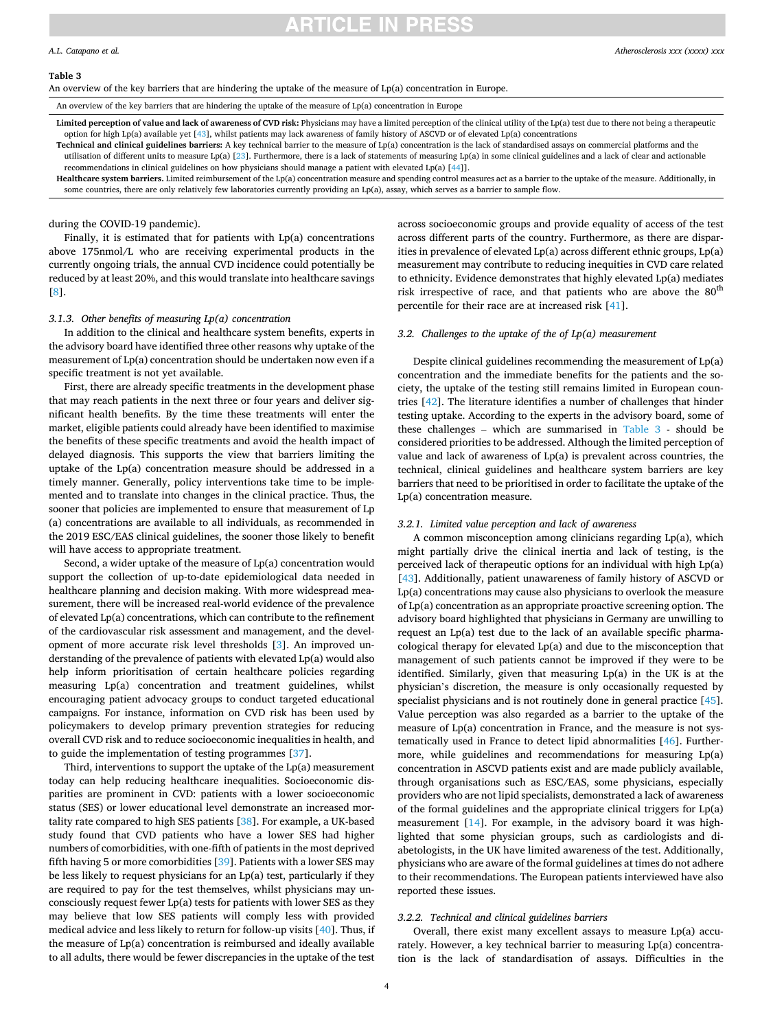#### **Table 3**

An overview of the key barriers that are hindering the uptake of the measure of Lp(a) concentration in Europe.

An overview of the key barriers that are hindering the uptake of the measure of Lp(a) concentration in Europe

Limited perception of value and lack of awareness of CVD risk: Physicians may have a limited perception of the clinical utility of the Lp(a) test due to there not being a therapeutic option for high Lp(a) available yet  $[43]$  $[43]$ , whilst patients may lack awareness of family history of ASCVD or of elevated Lp(a) concentrations

**Technical and clinical guidelines barriers:** A key technical barrier to the measure of Lp(a) concentration is the lack of standardised assays on commercial platforms and the utilisation of different units to measure Lp(a) [\[23](#page-6-0)]. Furthermore, there is a lack of statements of measuring Lp(a) in some clinical guidelines and a lack of clear and actionable recommendations in clinical guidelines on how physicians should manage a patient with elevated Lp(a) [[44\]](#page-7-0)].

**Healthcare system barriers.** Limited reimbursement of the Lp(a) concentration measure and spending control measures act as a barrier to the uptake of the measure. Additionally, in some countries, there are only relatively few laboratories currently providing an Lp(a), assay, which serves as a barrier to sample flow.

during the COVID-19 pandemic).

Finally, it is estimated that for patients with Lp(a) concentrations above 175nmol/L who are receiving experimental products in the currently ongoing trials, the annual CVD incidence could potentially be reduced by at least 20%, and this would translate into healthcare savings [[8](#page-6-0)].

### *3.1.3. Other benefits of measuring Lp(a) concentration*

In addition to the clinical and healthcare system benefits, experts in the advisory board have identified three other reasons why uptake of the measurement of Lp(a) concentration should be undertaken now even if a specific treatment is not yet available.

First, there are already specific treatments in the development phase that may reach patients in the next three or four years and deliver significant health benefits. By the time these treatments will enter the market, eligible patients could already have been identified to maximise the benefits of these specific treatments and avoid the health impact of delayed diagnosis. This supports the view that barriers limiting the uptake of the Lp(a) concentration measure should be addressed in a timely manner. Generally, policy interventions take time to be implemented and to translate into changes in the clinical practice. Thus, the sooner that policies are implemented to ensure that measurement of Lp (a) concentrations are available to all individuals, as recommended in the 2019 ESC/EAS clinical guidelines, the sooner those likely to benefit will have access to appropriate treatment.

Second, a wider uptake of the measure of Lp(a) concentration would support the collection of up-to-date epidemiological data needed in healthcare planning and decision making. With more widespread measurement, there will be increased real-world evidence of the prevalence of elevated Lp(a) concentrations, which can contribute to the refinement of the cardiovascular risk assessment and management, and the development of more accurate risk level thresholds [[3](#page-6-0)]. An improved understanding of the prevalence of patients with elevated Lp(a) would also help inform prioritisation of certain healthcare policies regarding measuring Lp(a) concentration and treatment guidelines, whilst encouraging patient advocacy groups to conduct targeted educational campaigns. For instance, information on CVD risk has been used by policymakers to develop primary prevention strategies for reducing overall CVD risk and to reduce socioeconomic inequalities in health, and to guide the implementation of testing programmes [[37\]](#page-7-0).

Third, interventions to support the uptake of the Lp(a) measurement today can help reducing healthcare inequalities. Socioeconomic disparities are prominent in CVD: patients with a lower socioeconomic status (SES) or lower educational level demonstrate an increased mortality rate compared to high SES patients [\[38](#page-7-0)]. For example, a UK-based study found that CVD patients who have a lower SES had higher numbers of comorbidities, with one-fifth of patients in the most deprived fifth having 5 or more comorbidities [\[39](#page-7-0)]. Patients with a lower SES may be less likely to request physicians for an Lp(a) test, particularly if they are required to pay for the test themselves, whilst physicians may unconsciously request fewer Lp(a) tests for patients with lower SES as they may believe that low SES patients will comply less with provided medical advice and less likely to return for follow-up visits [\[40](#page-7-0)]. Thus, if the measure of Lp(a) concentration is reimbursed and ideally available to all adults, there would be fewer discrepancies in the uptake of the test

across socioeconomic groups and provide equality of access of the test across different parts of the country. Furthermore, as there are disparities in prevalence of elevated Lp(a) across different ethnic groups, Lp(a) measurement may contribute to reducing inequities in CVD care related to ethnicity. Evidence demonstrates that highly elevated Lp(a) mediates risk irrespective of race, and that patients who are above the  $80<sup>th</sup>$ percentile for their race are at increased risk [[41\]](#page-7-0).

## *3.2. Challenges to the uptake of the of Lp(a) measurement*

Despite clinical guidelines recommending the measurement of Lp(a) concentration and the immediate benefits for the patients and the society, the uptake of the testing still remains limited in European countries [[42\]](#page-7-0). The literature identifies a number of challenges that hinder testing uptake. According to the experts in the advisory board, some of these challenges – which are summarised in Table 3 - should be considered priorities to be addressed. Although the limited perception of value and lack of awareness of Lp(a) is prevalent across countries, the technical, clinical guidelines and healthcare system barriers are key barriers that need to be prioritised in order to facilitate the uptake of the Lp(a) concentration measure.

### *3.2.1. Limited value perception and lack of awareness*

A common misconception among clinicians regarding Lp(a), which might partially drive the clinical inertia and lack of testing, is the perceived lack of therapeutic options for an individual with high Lp(a) [[43\]](#page-7-0). Additionally, patient unawareness of family history of ASCVD or Lp(a) concentrations may cause also physicians to overlook the measure of Lp(a) concentration as an appropriate proactive screening option. The advisory board highlighted that physicians in Germany are unwilling to request an Lp(a) test due to the lack of an available specific pharmacological therapy for elevated Lp(a) and due to the misconception that management of such patients cannot be improved if they were to be identified. Similarly, given that measuring Lp(a) in the UK is at the physician's discretion, the measure is only occasionally requested by specialist physicians and is not routinely done in general practice [\[45](#page-7-0)]. Value perception was also regarded as a barrier to the uptake of the measure of Lp(a) concentration in France, and the measure is not systematically used in France to detect lipid abnormalities [\[46](#page-7-0)]. Furthermore, while guidelines and recommendations for measuring Lp(a) concentration in ASCVD patients exist and are made publicly available, through organisations such as ESC/EAS, some physicians, especially providers who are not lipid specialists, demonstrated a lack of awareness of the formal guidelines and the appropriate clinical triggers for Lp(a) measurement [\[14](#page-6-0)]. For example, in the advisory board it was highlighted that some physician groups, such as cardiologists and diabetologists, in the UK have limited awareness of the test. Additionally, physicians who are aware of the formal guidelines at times do not adhere to their recommendations. The European patients interviewed have also reported these issues.

## *3.2.2. Technical and clinical guidelines barriers*

Overall, there exist many excellent assays to measure Lp(a) accurately. However, a key technical barrier to measuring Lp(a) concentration is the lack of standardisation of assays. Difficulties in the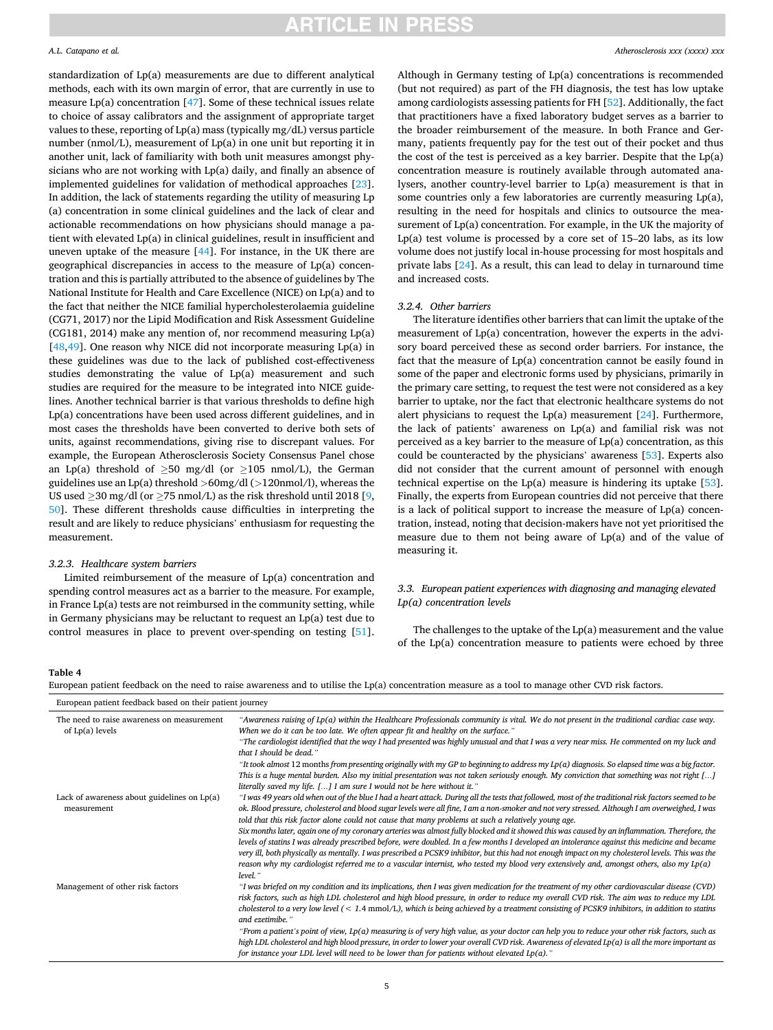### <span id="page-4-0"></span>*A.L. Catapano et al.*

standardization of Lp(a) measurements are due to different analytical methods, each with its own margin of error, that are currently in use to measure Lp(a) concentration [\[47](#page-7-0)]. Some of these technical issues relate to choice of assay calibrators and the assignment of appropriate target values to these, reporting of Lp(a) mass (typically mg/dL) versus particle number (nmol/L), measurement of Lp(a) in one unit but reporting it in another unit, lack of familiarity with both unit measures amongst physicians who are not working with Lp(a) daily, and finally an absence of implemented guidelines for validation of methodical approaches [\[23](#page-6-0)]. In addition, the lack of statements regarding the utility of measuring Lp (a) concentration in some clinical guidelines and the lack of clear and actionable recommendations on how physicians should manage a patient with elevated Lp(a) in clinical guidelines, result in insufficient and uneven uptake of the measure [[44\]](#page-7-0). For instance, in the UK there are geographical discrepancies in access to the measure of Lp(a) concentration and this is partially attributed to the absence of guidelines by The National Institute for Health and Care Excellence (NICE) on Lp(a) and to the fact that neither the NICE familial hypercholesterolaemia guideline (CG71, 2017) nor the Lipid Modification and Risk Assessment Guideline (CG181, 2014) make any mention of, nor recommend measuring Lp(a) [[48,49](#page-7-0)]. One reason why NICE did not incorporate measuring  $Lp(a)$  in these guidelines was due to the lack of published cost-effectiveness studies demonstrating the value of Lp(a) measurement and such studies are required for the measure to be integrated into NICE guidelines. Another technical barrier is that various thresholds to define high Lp(a) concentrations have been used across different guidelines, and in most cases the thresholds have been converted to derive both sets of units, against recommendations, giving rise to discrepant values. For example, the European Atherosclerosis Society Consensus Panel chose an Lp(a) threshold of  $\geq$ 50 mg/dl (or  $\geq$ 105 nmol/L), the German guidelines use an Lp(a) threshold *>*60mg/dl (*>*120nmol/l), whereas the US used ≥30 mg/dl (or ≥75 nmol/L) as the risk threshold until 2018 [[9](#page-6-0), [50\]](#page-7-0). These different thresholds cause difficulties in interpreting the result and are likely to reduce physicians' enthusiasm for requesting the measurement.

#### *3.2.3. Healthcare system barriers*

Limited reimbursement of the measure of Lp(a) concentration and spending control measures act as a barrier to the measure. For example, in France Lp(a) tests are not reimbursed in the community setting, while in Germany physicians may be reluctant to request an Lp(a) test due to control measures in place to prevent over-spending on testing [\[51](#page-7-0)].

Although in Germany testing of Lp(a) concentrations is recommended (but not required) as part of the FH diagnosis, the test has low uptake among cardiologists assessing patients for FH [[52\]](#page-7-0). Additionally, the fact that practitioners have a fixed laboratory budget serves as a barrier to the broader reimbursement of the measure. In both France and Germany, patients frequently pay for the test out of their pocket and thus the cost of the test is perceived as a key barrier. Despite that the Lp(a) concentration measure is routinely available through automated analysers, another country-level barrier to Lp(a) measurement is that in some countries only a few laboratories are currently measuring Lp(a), resulting in the need for hospitals and clinics to outsource the measurement of Lp(a) concentration. For example, in the UK the majority of Lp(a) test volume is processed by a core set of 15–20 labs, as its low volume does not justify local in-house processing for most hospitals and private labs [[24\]](#page-6-0). As a result, this can lead to delay in turnaround time and increased costs.

### *3.2.4. Other barriers*

The literature identifies other barriers that can limit the uptake of the measurement of Lp(a) concentration, however the experts in the advisory board perceived these as second order barriers. For instance, the fact that the measure of Lp(a) concentration cannot be easily found in some of the paper and electronic forms used by physicians, primarily in the primary care setting, to request the test were not considered as a key barrier to uptake, nor the fact that electronic healthcare systems do not alert physicians to request the Lp(a) measurement  $[24]$  $[24]$  $[24]$ . Furthermore, the lack of patients' awareness on Lp(a) and familial risk was not perceived as a key barrier to the measure of Lp(a) concentration, as this could be counteracted by the physicians' awareness [[53\]](#page-7-0). Experts also did not consider that the current amount of personnel with enough technical expertise on the Lp(a) measure is hindering its uptake [\[53](#page-7-0)]. Finally, the experts from European countries did not perceive that there is a lack of political support to increase the measure of Lp(a) concentration, instead, noting that decision-makers have not yet prioritised the measure due to them not being aware of Lp(a) and of the value of measuring it.

## *3.3. European patient experiences with diagnosing and managing elevated Lp(a) concentration levels*

The challenges to the uptake of the Lp(a) measurement and the value of the Lp(a) concentration measure to patients were echoed by three

### **Table 4**

European patient feedback on the need to raise awareness and to utilise the Lp(a) concentration measure as a tool to manage other CVD risk factors.

| European patient feedback based on their patient journey        |                                                                                                                                                                                                                                                                                                                                                                                                                                                                                                                                                                                                                                                                                                                                                                                                                                                                                                                                                                                                                           |  |  |
|-----------------------------------------------------------------|---------------------------------------------------------------------------------------------------------------------------------------------------------------------------------------------------------------------------------------------------------------------------------------------------------------------------------------------------------------------------------------------------------------------------------------------------------------------------------------------------------------------------------------------------------------------------------------------------------------------------------------------------------------------------------------------------------------------------------------------------------------------------------------------------------------------------------------------------------------------------------------------------------------------------------------------------------------------------------------------------------------------------|--|--|
| The need to raise awareness on measurement<br>of $Lp(a)$ levels | "Awareness raising of $Lp(a)$ within the Healthcare Professionals community is vital. We do not present in the traditional cardiac case way.<br>When we do it can be too late. We often appear fit and healthy on the surface."<br>"The cardiologist identified that the way I had presented was highly unusual and that I was a very near miss. He commented on my luck and<br>that I should be dead."<br>"It took almost 12 months from presenting originally with my GP to beginning to address my $Lp(a)$ diagnosis. So elapsed time was a big factor.<br>This is a huge mental burden. Also my initial presentation was not taken seriously enough. My conviction that something was not right []<br>literally saved my life. [] I am sure I would not be here without it."                                                                                                                                                                                                                                          |  |  |
| Lack of awareness about guidelines on Lp(a)<br>measurement      | "I was 49 years old when out of the blue I had a heart attack. During all the tests that followed, most of the traditional risk factors seemed to be<br>ok. Blood pressure, cholesterol and blood sugar levels were all fine, I am a non-smoker and not very stressed. Although I am overweighed, I was<br>told that this risk factor alone could not cause that many problems at such a relatively young age.<br>Six months later, again one of my coronary arteries was almost fully blocked and it showed this was caused by an inflammation. Therefore, the<br>levels of statins I was already prescribed before, were doubled. In a few months I developed an intolerance against this medicine and became<br>very ill, both physically as mentally. I was prescribed a PCSK9 inhibitor, but this had not enough impact on my cholesterol levels. This was the<br>reason why my cardiologist referred me to a vascular internist, who tested my blood very extensively and, amongst others, also my Lp(a)<br>level." |  |  |
| Management of other risk factors                                | "I was briefed on my condition and its implications, then I was given medication for the treatment of my other cardiovascular disease (CVD)<br>risk factors, such as high LDL cholesterol and high blood pressure, in order to reduce my overall CVD risk. The aim was to reduce my LDL<br>cholesterol to a very low level $(< 1.4$ mmol/L), which is being achieved by a treatment consisting of PCSK9 inhibitors, in addition to statins<br>and ezetimibe."<br>"From a patient's point of view, Lp(a) measuring is of very high value, as your doctor can help you to reduce your other risk factors, such as<br>high LDL cholesterol and high blood pressure, in order to lower your overall CVD risk. Awareness of elevated Lp(a) is all the more important as<br>for instance your LDL level will need to be lower than for patients without elevated $Lp(a)$ ."                                                                                                                                                     |  |  |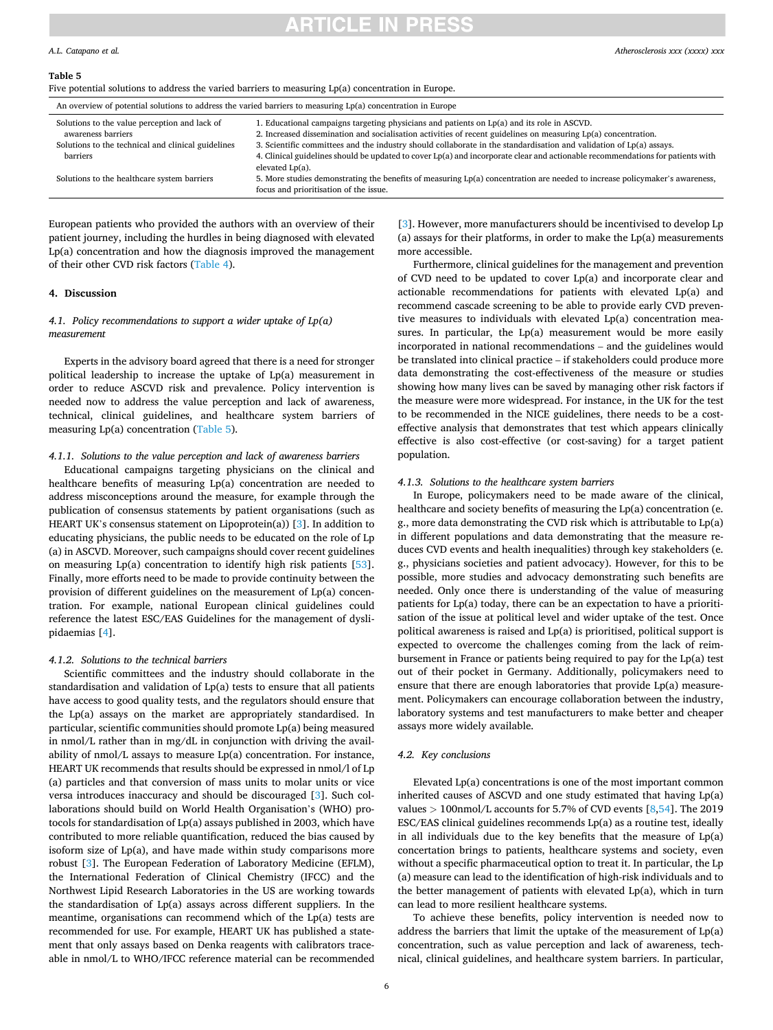### *A.L. Catapano et al.*

#### **Table 5**

Five potential solutions to address the varied barriers to measuring Lp(a) concentration in Europe.

| An overview of potential solutions to address the varied barriers to measuring $Lp(a)$ concentration in Europe |                                                                                                                                                                                               |  |  |  |
|----------------------------------------------------------------------------------------------------------------|-----------------------------------------------------------------------------------------------------------------------------------------------------------------------------------------------|--|--|--|
| Solutions to the value perception and lack of                                                                  | 1. Educational campaigns targeting physicians and patients on $Lp(a)$ and its role in ASCVD.                                                                                                  |  |  |  |
| awareness barriers                                                                                             | 2. Increased dissemination and socialisation activities of recent guidelines on measuring $Lp(a)$ concentration.                                                                              |  |  |  |
| Solutions to the technical and clinical guidelines                                                             | 3. Scientific committees and the industry should collaborate in the standardisation and validation of $Lp(a)$ assays.                                                                         |  |  |  |
| barriers                                                                                                       | 4. Clinical guidelines should be updated to cover Lp(a) and incorporate clear and actionable recommendations for patients with                                                                |  |  |  |
| Solutions to the healthcare system barriers                                                                    | elevated $Lp(a)$ .<br>5. More studies demonstrating the benefits of measuring $Lp(a)$ concentration are needed to increase policymaker's awareness,<br>focus and prioritisation of the issue. |  |  |  |

European patients who provided the authors with an overview of their patient journey, including the hurdles in being diagnosed with elevated Lp(a) concentration and how the diagnosis improved the management of their other CVD risk factors ([Table 4](#page-4-0)).

### **4. Discussion**

## *4.1. Policy recommendations to support a wider uptake of Lp(a) measurement*

Experts in the advisory board agreed that there is a need for stronger political leadership to increase the uptake of Lp(a) measurement in order to reduce ASCVD risk and prevalence. Policy intervention is needed now to address the value perception and lack of awareness, technical, clinical guidelines, and healthcare system barriers of measuring Lp(a) concentration (Table 5).

### *4.1.1. Solutions to the value perception and lack of awareness barriers*

Educational campaigns targeting physicians on the clinical and healthcare benefits of measuring Lp(a) concentration are needed to address misconceptions around the measure, for example through the publication of consensus statements by patient organisations (such as HEART UK's consensus statement on Lipoprotein(a)) [[3](#page-6-0)]. In addition to educating physicians, the public needs to be educated on the role of Lp (a) in ASCVD. Moreover, such campaigns should cover recent guidelines on measuring Lp(a) concentration to identify high risk patients [\[53](#page-7-0)]. Finally, more efforts need to be made to provide continuity between the provision of different guidelines on the measurement of Lp(a) concentration. For example, national European clinical guidelines could reference the latest ESC/EAS Guidelines for the management of dyslipidaemias [\[4\]](#page-6-0).

### *4.1.2. Solutions to the technical barriers*

Scientific committees and the industry should collaborate in the standardisation and validation of Lp(a) tests to ensure that all patients have access to good quality tests, and the regulators should ensure that the Lp(a) assays on the market are appropriately standardised. In particular, scientific communities should promote Lp(a) being measured in nmol/L rather than in mg/dL in conjunction with driving the availability of nmol/L assays to measure Lp(a) concentration. For instance, HEART UK recommends that results should be expressed in nmol/l of Lp (a) particles and that conversion of mass units to molar units or vice versa introduces inaccuracy and should be discouraged [[3](#page-6-0)]. Such collaborations should build on World Health Organisation's (WHO) protocols for standardisation of Lp(a) assays published in 2003, which have contributed to more reliable quantification, reduced the bias caused by isoform size of Lp(a), and have made within study comparisons more robust [\[3\]](#page-6-0). The European Federation of Laboratory Medicine (EFLM), the International Federation of Clinical Chemistry (IFCC) and the Northwest Lipid Research Laboratories in the US are working towards the standardisation of Lp(a) assays across different suppliers. In the meantime, organisations can recommend which of the Lp(a) tests are recommended for use. For example, HEART UK has published a statement that only assays based on Denka reagents with calibrators traceable in nmol/L to WHO/IFCC reference material can be recommended

[[3](#page-6-0)]. However, more manufacturers should be incentivised to develop Lp (a) assays for their platforms, in order to make the Lp(a) measurements more accessible.

Furthermore, clinical guidelines for the management and prevention of CVD need to be updated to cover Lp(a) and incorporate clear and actionable recommendations for patients with elevated Lp(a) and recommend cascade screening to be able to provide early CVD preventive measures to individuals with elevated Lp(a) concentration measures. In particular, the Lp(a) measurement would be more easily incorporated in national recommendations – and the guidelines would be translated into clinical practice – if stakeholders could produce more data demonstrating the cost-effectiveness of the measure or studies showing how many lives can be saved by managing other risk factors if the measure were more widespread. For instance, in the UK for the test to be recommended in the NICE guidelines, there needs to be a costeffective analysis that demonstrates that test which appears clinically effective is also cost-effective (or cost-saving) for a target patient population.

#### *4.1.3. Solutions to the healthcare system barriers*

In Europe, policymakers need to be made aware of the clinical, healthcare and society benefits of measuring the Lp(a) concentration (e. g., more data demonstrating the CVD risk which is attributable to Lp(a) in different populations and data demonstrating that the measure reduces CVD events and health inequalities) through key stakeholders (e. g., physicians societies and patient advocacy). However, for this to be possible, more studies and advocacy demonstrating such benefits are needed. Only once there is understanding of the value of measuring patients for Lp(a) today, there can be an expectation to have a prioritisation of the issue at political level and wider uptake of the test. Once political awareness is raised and Lp(a) is prioritised, political support is expected to overcome the challenges coming from the lack of reimbursement in France or patients being required to pay for the Lp(a) test out of their pocket in Germany. Additionally, policymakers need to ensure that there are enough laboratories that provide Lp(a) measurement. Policymakers can encourage collaboration between the industry, laboratory systems and test manufacturers to make better and cheaper assays more widely available.

#### *4.2. Key conclusions*

Elevated Lp(a) concentrations is one of the most important common inherited causes of ASCVD and one study estimated that having Lp(a) values *>* 100nmol/L accounts for 5.7% of CVD events [[8](#page-6-0),[54\]](#page-7-0). The 2019 ESC/EAS clinical guidelines recommends Lp(a) as a routine test, ideally in all individuals due to the key benefits that the measure of Lp(a) concertation brings to patients, healthcare systems and society, even without a specific pharmaceutical option to treat it. In particular, the Lp (a) measure can lead to the identification of high-risk individuals and to the better management of patients with elevated Lp(a), which in turn can lead to more resilient healthcare systems.

To achieve these benefits, policy intervention is needed now to address the barriers that limit the uptake of the measurement of Lp(a) concentration, such as value perception and lack of awareness, technical, clinical guidelines, and healthcare system barriers. In particular,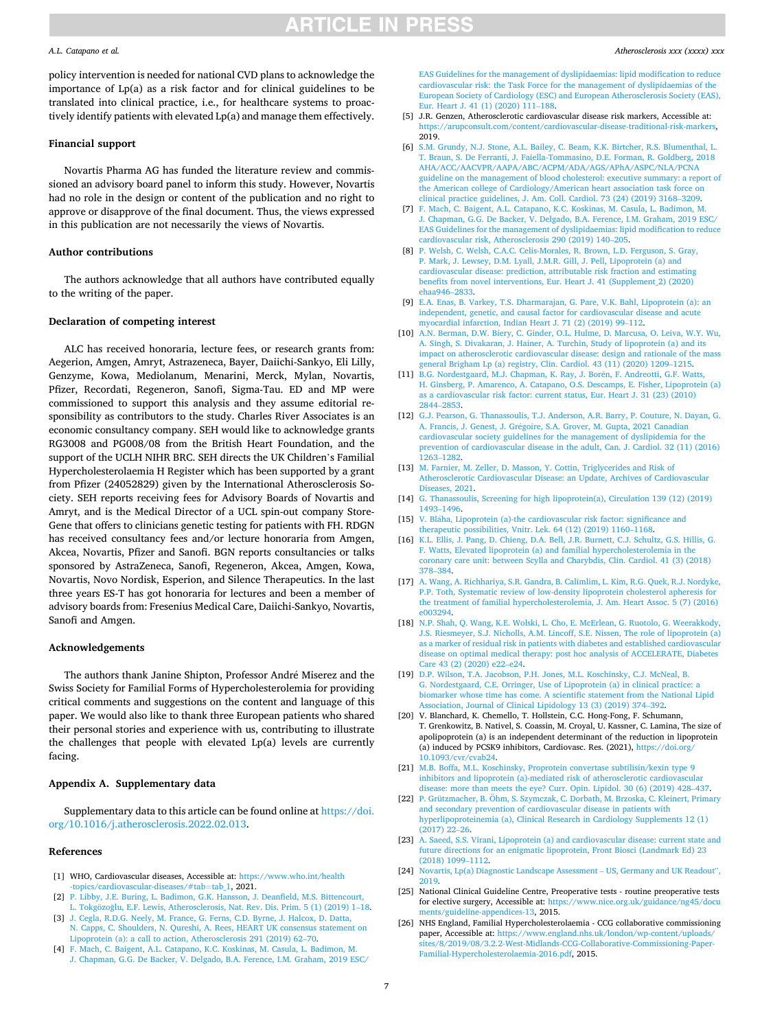#### <span id="page-6-0"></span>*A.L. Catapano et al.*

policy intervention is needed for national CVD plans to acknowledge the importance of Lp(a) as a risk factor and for clinical guidelines to be translated into clinical practice, i.e., for healthcare systems to proactively identify patients with elevated Lp(a) and manage them effectively.

## **Financial support**

Novartis Pharma AG has funded the literature review and commissioned an advisory board panel to inform this study. However, Novartis had no role in the design or content of the publication and no right to approve or disapprove of the final document. Thus, the views expressed in this publication are not necessarily the views of Novartis.

### **Author contributions**

The authors acknowledge that all authors have contributed equally to the writing of the paper.

#### **Declaration of competing interest**

ALC has received honoraria, lecture fees, or research grants from: Aegerion, Amgen, Amryt, Astrazeneca, Bayer, Daiichi-Sankyo, Eli Lilly, Genzyme, Kowa, Mediolanum, Menarini, Merck, Mylan, Novartis, Pfizer, Recordati, Regeneron, Sanofi, Sigma-Tau. ED and MP were commissioned to support this analysis and they assume editorial responsibility as contributors to the study. Charles River Associates is an economic consultancy company. SEH would like to acknowledge grants RG3008 and PG008/08 from the British Heart Foundation, and the support of the UCLH NIHR BRC. SEH directs the UK Children's Familial Hypercholesterolaemia H Register which has been supported by a grant from Pfizer (24052829) given by the International Atherosclerosis Society. SEH reports receiving fees for Advisory Boards of Novartis and Amryt, and is the Medical Director of a UCL spin-out company Store-Gene that offers to clinicians genetic testing for patients with FH. RDGN has received consultancy fees and/or lecture honoraria from Amgen, Akcea, Novartis, Pfizer and Sanofi. BGN reports consultancies or talks sponsored by AstraZeneca, Sanofi, Regeneron, Akcea, Amgen, Kowa, Novartis, Novo Nordisk, Esperion, and Silence Therapeutics. In the last three years ES-T has got honoraria for lectures and been a member of advisory boards from: Fresenius Medical Care, Daiichi-Sankyo, Novartis, Sanofi and Amgen.

### **Acknowledgements**

The authors thank Janine Shipton, Professor André Miserez and the Swiss Society for Familial Forms of Hypercholesterolemia for providing critical comments and suggestions on the content and language of this paper. We would also like to thank three European patients who shared their personal stories and experience with us, contributing to illustrate the challenges that people with elevated Lp(a) levels are currently facing.

#### **Appendix A. Supplementary data**

Supplementary data to this article can be found online at [https://doi.](https://doi.org/10.1016/j.atherosclerosis.2022.02.013)  [org/10.1016/j.atherosclerosis.2022.02.013.](https://doi.org/10.1016/j.atherosclerosis.2022.02.013)

#### **References**

- [1] WHO, Cardiovascular diseases, Accessible at: [https://www.who.int/health](https://www.who.int/health-topics/cardiovascular-diseases/#tab=tab_1)  [-topics/cardiovascular-diseases/#tab](https://www.who.int/health-topics/cardiovascular-diseases/#tab=tab_1)=tab\_1, 2021.
- [2] [P. Libby, J.E. Buring, L. Badimon, G.K. Hansson, J. Deanfield, M.S. Bittencourt,](http://refhub.elsevier.com/S0021-9150(22)00082-X/sref2)  L. Tokgözoğlu, [E.F. Lewis, Atherosclerosis, Nat. Rev. Dis. Prim. 5 \(1\) \(2019\) 1](http://refhub.elsevier.com/S0021-9150(22)00082-X/sref2)–18.
- [3] [J. Cegla, R.D.G. Neely, M. France, G. Ferns, C.D. Byrne, J. Halcox, D. Datta,](http://refhub.elsevier.com/S0021-9150(22)00082-X/sref3) [N. Capps, C. Shoulders, N. Qureshi, A. Rees, HEART UK consensus statement on](http://refhub.elsevier.com/S0021-9150(22)00082-X/sref3)  [Lipoprotein \(a\): a call to action, Atherosclerosis 291 \(2019\) 62](http://refhub.elsevier.com/S0021-9150(22)00082-X/sref3)–70.
- [4] [F. Mach, C. Baigent, A.L. Catapano, K.C. Koskinas, M. Casula, L. Badimon, M.](http://refhub.elsevier.com/S0021-9150(22)00082-X/sref4)  [J. Chapman, G.G. De Backer, V. Delgado, B.A. Ference, I.M. Graham, 2019 ESC/](http://refhub.elsevier.com/S0021-9150(22)00082-X/sref4)

[EAS Guidelines for the management of dyslipidaemias: lipid modification to reduce](http://refhub.elsevier.com/S0021-9150(22)00082-X/sref4)  [cardiovascular risk: the Task Force for the management of dyslipidaemias of the](http://refhub.elsevier.com/S0021-9150(22)00082-X/sref4) [European Society of Cardiology \(ESC\) and European Atherosclerosis Society \(EAS\),](http://refhub.elsevier.com/S0021-9150(22)00082-X/sref4)  [Eur. Heart J. 41 \(1\) \(2020\) 111](http://refhub.elsevier.com/S0021-9150(22)00082-X/sref4)–188.

- [5] J.R. Genzen, Atherosclerotic cardiovascular disease risk markers, Accessible at: [https://arupconsult.com/content/cardiovascular-disease-traditional-risk-markers,](https://arupconsult.com/content/cardiovascular-disease-traditional-risk-markers) 2019.
- [6] [S.M. Grundy, N.J. Stone, A.L. Bailey, C. Beam, K.K. Birtcher, R.S. Blumenthal, L.](http://refhub.elsevier.com/S0021-9150(22)00082-X/sref6)  [T. Braun, S. De Ferranti, J. Faiella-Tommasino, D.E. Forman, R. Goldberg, 2018](http://refhub.elsevier.com/S0021-9150(22)00082-X/sref6) [AHA/ACC/AACVPR/AAPA/ABC/ACPM/ADA/AGS/APhA/ASPC/NLA/PCNA](http://refhub.elsevier.com/S0021-9150(22)00082-X/sref6) [guideline on the management of blood cholesterol: executive summary: a report of](http://refhub.elsevier.com/S0021-9150(22)00082-X/sref6)  [the American college of Cardiology/American heart association task force on](http://refhub.elsevier.com/S0021-9150(22)00082-X/sref6)  [clinical practice guidelines, J. Am. Coll. Cardiol. 73 \(24\) \(2019\) 3168](http://refhub.elsevier.com/S0021-9150(22)00082-X/sref6)–3209.
- [7] [F. Mach, C. Baigent, A.L. Catapano, K.C. Koskinas, M. Casula, L. Badimon, M.](http://refhub.elsevier.com/S0021-9150(22)00082-X/sref7)  [J. Chapman, G.G. De Backer, V. Delgado, B.A. Ference, I.M. Graham, 2019 ESC/](http://refhub.elsevier.com/S0021-9150(22)00082-X/sref7) [EAS Guidelines for the management of dyslipidaemias: lipid modification to reduce](http://refhub.elsevier.com/S0021-9150(22)00082-X/sref7)  [cardiovascular risk, Atherosclerosis 290 \(2019\) 140](http://refhub.elsevier.com/S0021-9150(22)00082-X/sref7)–205.
- [8] [P. Welsh, C. Welsh, C.A.C. Celis-Morales, R. Brown, L.D. Ferguson, S. Gray,](http://refhub.elsevier.com/S0021-9150(22)00082-X/sref8) [P. Mark, J. Lewsey, D.M. Lyall, J.M.R. Gill, J. Pell, Lipoprotein \(a\) and](http://refhub.elsevier.com/S0021-9150(22)00082-X/sref8) [cardiovascular disease: prediction, attributable risk fraction and estimating](http://refhub.elsevier.com/S0021-9150(22)00082-X/sref8)  [benefits from novel interventions, Eur. Heart J. 41 \(Supplement\\_2\) \(2020\)](http://refhub.elsevier.com/S0021-9150(22)00082-X/sref8)  [ehaa946](http://refhub.elsevier.com/S0021-9150(22)00082-X/sref8)–2833.
- [9] [E.A. Enas, B. Varkey, T.S. Dharmarajan, G. Pare, V.K. Bahl, Lipoprotein \(a\): an](http://refhub.elsevier.com/S0021-9150(22)00082-X/sref9)  independent, genetic, and causal factor for cardiovascular disease [myocardial infarction, Indian Heart J. 71 \(2\) \(2019\) 99](http://refhub.elsevier.com/S0021-9150(22)00082-X/sref9)–112.
- [10] [A.N. Berman, D.W. Biery, C. Ginder, O.L. Hulme, D. Marcusa, O. Leiva, W.Y. Wu,](http://refhub.elsevier.com/S0021-9150(22)00082-X/sref10)  [A. Singh, S. Divakaran, J. Hainer, A. Turchin, Study of lipoprotein \(a\) and its](http://refhub.elsevier.com/S0021-9150(22)00082-X/sref10) [impact on atherosclerotic cardiovascular disease: design and rationale of the mass](http://refhub.elsevier.com/S0021-9150(22)00082-X/sref10)  [general Brigham Lp \(a\) registry, Clin. Cardiol. 43 \(11\) \(2020\) 1209](http://refhub.elsevier.com/S0021-9150(22)00082-X/sref10)–1215.
- [11] [B.G. Nordestgaard, M.J. Chapman, K. Ray, J. Bor](http://refhub.elsevier.com/S0021-9150(22)00082-X/sref11)én, F. Andreotti, G.F. Watts, [H. Ginsberg, P. Amarenco, A. Catapano, O.S. Descamps, E. Fisher, Lipoprotein \(a\)](http://refhub.elsevier.com/S0021-9150(22)00082-X/sref11)  [as a cardiovascular risk factor: current status, Eur. Heart J. 31 \(23\) \(2010\)](http://refhub.elsevier.com/S0021-9150(22)00082-X/sref11) [2844](http://refhub.elsevier.com/S0021-9150(22)00082-X/sref11)–2853.
- [12] [G.J. Pearson, G. Thanassoulis, T.J. Anderson, A.R. Barry, P. Couture, N. Dayan, G.](http://refhub.elsevier.com/S0021-9150(22)00082-X/sref12)  A. Francis, J. Genest, J. Grégoire, S.A. Grover, M. Gupta, 2021 Canadian [cardiovascular society guidelines for the management of dyslipidemia for the](http://refhub.elsevier.com/S0021-9150(22)00082-X/sref12)  [prevention of cardiovascular disease in the adult, Can. J. Cardiol. 32 \(11\) \(2016\)](http://refhub.elsevier.com/S0021-9150(22)00082-X/sref12)  [1263](http://refhub.elsevier.com/S0021-9150(22)00082-X/sref12)–1282.
- [13] M. Farnier, M. Zeller, D. Masson, Y. Cottin, Triglycerides and Risk of [Atherosclerotic Cardiovascular Disease: an Update, Archives of Cardiovascular](http://refhub.elsevier.com/S0021-9150(22)00082-X/sref13)  [Diseases, 2021.](http://refhub.elsevier.com/S0021-9150(22)00082-X/sref13)
- [14] [G. Thanassoulis, Screening for high lipoprotein\(a\), Circulation 139 \(12\) \(2019\)](http://refhub.elsevier.com/S0021-9150(22)00082-X/sref14)  [1493](http://refhub.elsevier.com/S0021-9150(22)00082-X/sref14)–1496.
- [15] V. Bláha, [Lipoprotein \(a\)-the cardiovascular risk factor: significance and](http://refhub.elsevier.com/S0021-9150(22)00082-X/sref15) [therapeutic possibilities, Vnitr. Lek. 64 \(12\) \(2019\) 1160](http://refhub.elsevier.com/S0021-9150(22)00082-X/sref15)–1168.
- [16] [K.L. Ellis, J. Pang, D. Chieng, D.A. Bell, J.R. Burnett, C.J. Schultz, G.S. Hillis, G.](http://refhub.elsevier.com/S0021-9150(22)00082-X/sref16)  [F. Watts, Elevated lipoprotein \(a\) and familial hypercholesterolemia in the](http://refhub.elsevier.com/S0021-9150(22)00082-X/sref16) [coronary care unit: between Scylla and Charybdis, Clin. Cardiol. 41 \(3\) \(2018\)](http://refhub.elsevier.com/S0021-9150(22)00082-X/sref16)  378–[384.](http://refhub.elsevier.com/S0021-9150(22)00082-X/sref16)
- [17] [A. Wang, A. Richhariya, S.R. Gandra, B. Calimlim, L. Kim, R.G. Quek, R.J. Nordyke,](http://refhub.elsevier.com/S0021-9150(22)00082-X/sref17)  [P.P. Toth, Systematic review of low-density lipoprotein cholesterol apheresis for](http://refhub.elsevier.com/S0021-9150(22)00082-X/sref17) [the treatment of familial hypercholesterolemia, J. Am. Heart Assoc. 5 \(7\) \(2016\)](http://refhub.elsevier.com/S0021-9150(22)00082-X/sref17)  [e003294.](http://refhub.elsevier.com/S0021-9150(22)00082-X/sref17)
- [18] [N.P. Shah, Q. Wang, K.E. Wolski, L. Cho, E. McErlean, G. Ruotolo, G. Weerakkody,](http://refhub.elsevier.com/S0021-9150(22)00082-X/sref18)  [J.S. Riesmeyer, S.J. Nicholls, A.M. Lincoff, S.E. Nissen, The role of lipoprotein \(a\)](http://refhub.elsevier.com/S0021-9150(22)00082-X/sref18)  [as a marker of residual risk in patients with diabetes and established cardiovascular](http://refhub.elsevier.com/S0021-9150(22)00082-X/sref18)  [disease on optimal medical therapy: post hoc analysis of ACCELERATE, Diabetes](http://refhub.elsevier.com/S0021-9150(22)00082-X/sref18)  [Care 43 \(2\) \(2020\) e22](http://refhub.elsevier.com/S0021-9150(22)00082-X/sref18)–e24.
- [19] [D.P. Wilson, T.A. Jacobson, P.H. Jones, M.L. Koschinsky, C.J. McNeal, B.](http://refhub.elsevier.com/S0021-9150(22)00082-X/sref19)  [G. Nordestgaard, C.E. Orringer, Use of Lipoprotein \(a\) in clinical practice: a](http://refhub.elsevier.com/S0021-9150(22)00082-X/sref19)  [biomarker whose time has come. A scientific statement from the National Lipid](http://refhub.elsevier.com/S0021-9150(22)00082-X/sref19) [Association, Journal of Clinical Lipidology 13 \(3\) \(2019\) 374](http://refhub.elsevier.com/S0021-9150(22)00082-X/sref19)–392.
- [20] V. Blanchard, K. Chemello, T. Hollstein, C.C. Hong-Fong, F. Schumann, T. Grenkowitz, B. Nativel, S. Coassin, M. Croyal, U. Kassner, C. Lamina, The size of apolipoprotein (a) is an independent determinant of the reduction in lipoprotein (a) induced by PCSK9 inhibitors, Cardiovasc. Res. (2021), [https://doi.org/](https://doi.org/10.1093/cvr/cvab24)  [10.1093/cvr/cvab24.](https://doi.org/10.1093/cvr/cvab24)
- [21] [M.B. Boffa, M.L. Koschinsky, Proprotein convertase subtilisin/kexin type 9](http://refhub.elsevier.com/S0021-9150(22)00082-X/sref21)  [inhibitors and lipoprotein \(a\)-mediated risk of atherosclerotic cardiovascular](http://refhub.elsevier.com/S0021-9150(22)00082-X/sref21) [disease: more than meets the eye? Curr. Opin. Lipidol. 30 \(6\) \(2019\) 428](http://refhub.elsevier.com/S0021-9150(22)00082-X/sref21)–437.
- [22] P. Grützmacher, B. Öhm, S. Szymczak, C. Dorbath, M. Brzoska, C. Kleinert, Primary [and secondary prevention of cardiovascular disease in patients with](http://refhub.elsevier.com/S0021-9150(22)00082-X/sref22)  [hyperlipoproteinemia \(a\), Clinical Research in Cardiology Supplements 12 \(1\)](http://refhub.elsevier.com/S0021-9150(22)00082-X/sref22)  [\(2017\) 22](http://refhub.elsevier.com/S0021-9150(22)00082-X/sref22)–26.
- [23] [A. Saeed, S.S. Virani, Lipoprotein \(a\) and cardiovascular disease: current state and](http://refhub.elsevier.com/S0021-9150(22)00082-X/sref23)  [future directions for an enigmatic lipoprotein, Front Biosci \(Landmark Ed\) 23](http://refhub.elsevier.com/S0021-9150(22)00082-X/sref23)  [\(2018\) 1099](http://refhub.elsevier.com/S0021-9150(22)00082-X/sref23)–1112.
- [24] [Novartis, Lp\(a\) Diagnostic Landscape Assessment](http://refhub.elsevier.com/S0021-9150(22)00082-X/sref24)  US, Germany and UK Readout", [2019](http://refhub.elsevier.com/S0021-9150(22)00082-X/sref24).
- [25] National Clinical Guideline Centre, Preoperative tests routine preoperative tests for elective surgery, Accessible at: https://www.nice.org.uk/guidance/ng45/docu for elective surgery, Accessible at: https:/ [ments/guideline-appendices-13,](https://www.nice.org.uk/guidance/ng45/documents/guideline-appendices-13) 2015.
- [26] NHS England, Familial Hypercholesterolaemia CCG collaborative commissioning paper, Accessible at: https://www.england.nhs.uk/london/wp-content/uploads/ [sites/8/2019/08/3.2.2-West-Midlands-CCG-Collaborative-Commissioning-Paper-](https://www.england.nhs.uk/london/wp-content/uploads/sites/8/2019/08/3.2.2-West-Midlands-CCG-Collaborative-Commissioning-Paper-Familial-Hypercholesterolaemia-2016.pdf)[Familial-Hypercholesterolaemia-2016.pdf,](https://www.england.nhs.uk/london/wp-content/uploads/sites/8/2019/08/3.2.2-West-Midlands-CCG-Collaborative-Commissioning-Paper-Familial-Hypercholesterolaemia-2016.pdf) 2015.